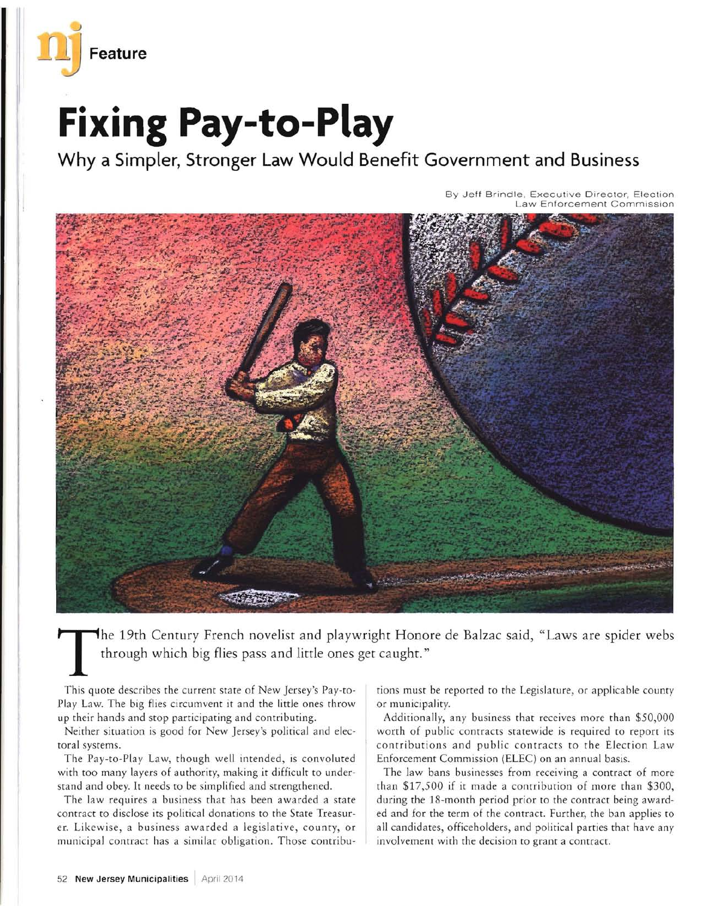

## **Fixing Pay-to-Play**

**Why a Simpler, Stronger Law Would Benefit Government and Business** 

By Jeff Brindle, Executive Director, Election Law Enforcement Commission



The 19th Century French novelist and playwright Honore de Balzac said, "Laws are spider webs through which big flies pass and little ones get caught."

This quote describes the current state of New Jersey's Pay-to-Play Law. The big flies circumvent it and the little ones throw up their hands and stop participating and contributing.

Neither situation is good for New Jersey's political and electoral systems.

The Pay-to-Play Law, though well intended, is convoluted with too many layers of authority, making it difficult to understand and obey. It needs to be simplified and strengthened.

The law requires a business that has been awarded a state contract to disclose its political donations to the State Treasurer. Likewise, a business awarded a legislative, county, or municipal contract has a similar obligation, Those contribu-

tions must be reported to the Legislature, or applicable county or municipality,

Additionally, any business that receives more than \$50,000 worth of public contracts statewide is required to report its contributions and public contracts to the Ejection Law Enforcement Commission (ElEC) on an annual basis.

The law bans businesses from receiving a contract of more than \$17,500 if it made a contribution of more than \$300, during the IS-month period prior to the contract being awarded and for the term of the contract. Further, the ban applies to all candidates, officeholders, and political parties that have any involvement with the decision to grant a contract.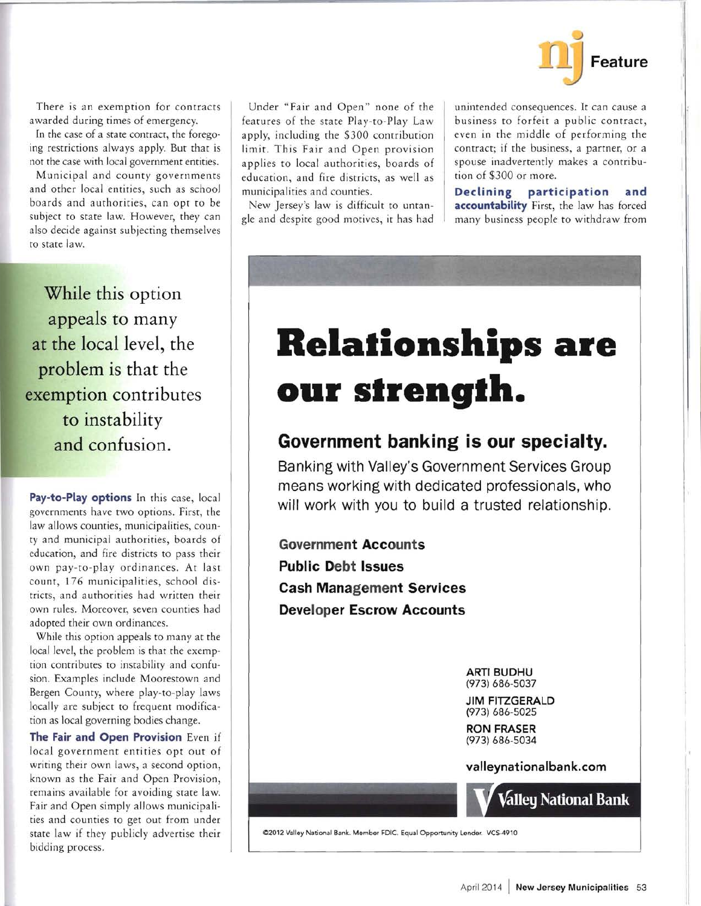

There is an exemption for contracts awarded during times of emergency.

In the case of a state contract, the foregoing restrictions always apply. But that is not the case with local government entities.

Municipal and county governments and other local entities, such as school boards and authorities, can opt to be subject to state law. However, they can also decide against subjecting themselves to state law.

**While this option appeals to many at the** local level, **the problem is that the exemption contributes to instability and confusion.** 

**Pay-to-Play options** In this case, local governments have two options. First, the law allows counties, municipalities, county and municipal authorities, boards of education, and fire districts to pass their own pay-to-play ordinances. At last count, 176 municipalities, school districts, and authorities had written their own rules. Moreover, seven counties had adopted their own ordinances.

While this option appeals to many at the local level, the problem is that the exemption contributes to instability and confusion. Examples include Moorestown and Bergen County, where play-to-play laws locally are subject to frequent modification as local governing bodies change.

**The Fair and Open Provision** Even if local government entities opt out of writing their own laws, a second option, known as the Fair and Open Provision, remains available for avoiding state law. Fair and Open simply allows municipalities and counties to get out from under state law if they publicly advertise their bidding process.

Under "Fair and Open" none of the features of the state Play-to-Play Law apply, including the \$300 contribution limit. This Fair and Open provision applies to local authorities, boards of education, and fire districts, as well as municipalities and counties.

New Jersey's law is difficult to untangle and despite good motives, it has had unintended consequences. It can cause a business to forfeit a public contract, even in the middle of performing the contract; if the business, a partner, or a spouse inadvertently makes a contribution of \$300 or more.

**Declining participation and accountability** First, the law has forced many business people to withdraw from

## **Relalionships are**  our strength.

## **Government banking is our specialty.**

**Banking with Valley's Government Services Group means working with dedicated professionals, who will work with you to build a trusted relationship.** 

**Government Accounts Public Debt Issues Cash Management Services Developer Escrow Accounts** 

> **ARTI BUDHU**  (973) 686-5037

**JIM FITZGERALD**  (973) 686-5025

**RON FRASER**  (973) 686-5034

**valleynationalbank.com** 



02012 Valley National Bank. Member FDIC. Equal Opportunity Lender. VCS-4910